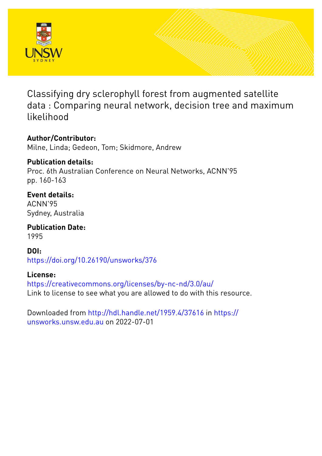

Classifying dry sclerophyll forest from augmented satellite data : Comparing neural network, decision tree and maximum likelihood

# **Author/Contributor:**

Milne, Linda; Gedeon, Tom; Skidmore, Andrew

### **Publication details:**

Proc. 6th Australian Conference on Neural Networks, ACNN'95 pp. 160-163

# **Event details:**

ACNN'95 Sydney, Australia

**Publication Date:** 1995

**DOI:** [https://doi.org/10.26190/unsworks/376](http://dx.doi.org/https://doi.org/10.26190/unsworks/376)

## **License:**

<https://creativecommons.org/licenses/by-nc-nd/3.0/au/> Link to license to see what you are allowed to do with this resource.

Downloaded from <http://hdl.handle.net/1959.4/37616> in [https://](https://unsworks.unsw.edu.au) [unsworks.unsw.edu.au](https://unsworks.unsw.edu.au) on 2022-07-01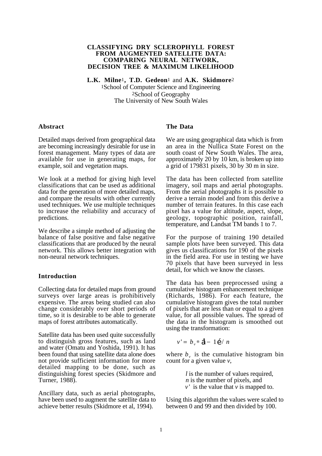#### **CLASSIFYING DRY SCLEROPHYLL FOREST FROM AUGMENTED SATELLITE DATA: COMPARING NEURAL NETWORK, DECISION TREE & MAXIMUM LIKELIHOOD**

**L.K. Milne**1**, T.D. Gedeon**1 and **A.K. Skidmore**2 1School of Computer Science and Engineering 2School of Geography The University of New South Wales

#### **Abstract**

Detailed maps derived from geographical data are becoming increasingly desirable for use in forest management. Many types of data are available for use in generating maps, for example, soil and vegetation maps.

We look at a method for giving high level classifications that can be used as additional data for the generation of more detailed maps, and compare the results with other currently used techniques. We use multiple techniques to increase the reliability and accuracy of predictions.

We describe a simple method of adjusting the balance of false positive and false negative classifications that are produced by the neural network. This allows better integration with non-neural network techniques.

#### **Introduction**

Collecting data for detailed maps from ground surveys over large areas is prohibitively expensive. The areas being studied can also change considerably over short periods of time, so it is desirable to be able to generate maps of forest attributes automatically.

Satellite data has been used quite successfully to distinguish gross features, such as land and water (Omatu and Yoshida, 1991). It has been found that using satellite data alone does not provide sufficient information for more detailed mapping to be done, such as distinguishing forest species (Skidmore and Turner, 1988).

Ancillary data, such as aerial photographs, have been used to augment the satellite data to achieve better results (Skidmore et al, 1994).

#### **The Data**

We are using geographical data which is from an area in the Nullica State Forest on the south coast of New South Wales. The area, approximately 20 by 10 km, is broken up into a grid of 179831 pixels, 30 by 30 m in size.

The data has been collected from satellite imagery, soil maps and aerial photographs. From the aerial photographs it is possible to derive a terrain model and from this derive a number of terrain features. In this case each pixel has a value for altitude, aspect, slope, geology, topographic position, rainfall, temperature, and Landsat TM bands 1 to 7.

For the purpose of training 190 detailed sample plots have been surveyed. This data gives us classifications for 190 of the pixels in the field area. For use in testing we have 70 pixels that have been surveyed in less detail, for which we know the classes.

The data has been preprocessed using a cumulative histogram enhancement technique (Richards, 1986). For each feature, the cumulative histogram gives the total number of pixels that are less than or equal to a given value, for all possible values. The spread of the data in the histogram is smoothed out using the transformation:

$$
v' = b_v * \mathbf{\hat{d}} - 1\mathbf{\hat{e}} / n
$$

where  $b_{\nu}$  is the cumulative histogram bin count for a given value *v*,

> *l* is the number of values required, *n* is the number of pixels, and *v* ' is the value that *v* is mapped to.

Using this algorithm the values were scaled to between 0 and 99 and then divided by 100.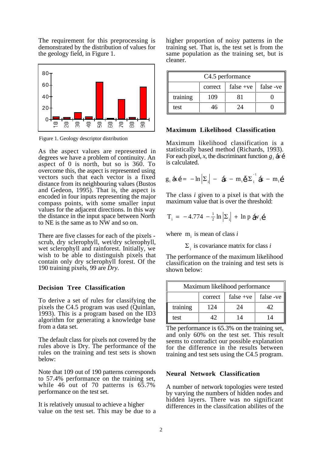The requirement for this preprocessing is demonstrated by the distribution of values for the geology field, in Figure 1.



Figure 1. Geology descriptor distribution

As the aspect values are represented in degrees we have a problem of continuity. An aspect of 0 is north, but so is 360. To overcome this, the aspect is represented using vectors such that each vector is a fixed distance from its neighbouring values (Bustos and Gedeon, 1995). That is, the aspect is encoded in four inputs representing the major compass points, with some smaller input values for the adjacent directions. In this way the distance in the input space between North to NE is the same as to NW and so on.

There are five classes for each of the pixels scrub, dry sclerophyll, wet/dry sclerophyll, wet sclerophyll and rainforest. Initially, we wish to be able to distinguish pixels that contain only dry sclerophyll forest. Of the 190 training pixels, 99 are *Dry*.

#### **Decision Tree Classification**

To derive a set of rules for classifying the pixels the C4.5 program was used (Quinlan, 1993). This is a program based on the ID3 algorithm for generating a knowledge base from a data set.

The default class for pixels not covered by the rules above is Dry. The performance of the rules on the training and test sets is shown below:

Note that 109 out of 190 patterns corresponds to 57.4% performance on the training set, while 46 out of 70 patterns is 65.7% performance on the test set.

It is relatively unusual to achieve a higher value on the test set. This may be due to a higher proportion of noisy patterns in the training set. That is, the test set is from the same population as the training set, but is cleaner.

| C4.5 performance |         |             |                       |  |  |
|------------------|---------|-------------|-----------------------|--|--|
|                  | correct | false $+ve$ | false -ve $\parallel$ |  |  |
| training         | 109     | 81          |                       |  |  |
| test             | $16 -$  | 24          |                       |  |  |

#### **Maximum Likelihood Classification**

Maximum likelihood classification is a statistically based method (Richards, 1993). For each pixel, *x*, the discriminant function  $g_i$  **áx é** is calculated.

$$
g_i \cdot \mathbf{\hat{a}} \cdot \mathbf{\hat{e}} = -\ln \left| \Sigma_i \right| - \mathbf{\hat{a}} \cdot - m_i \mathbf{\hat{e}} \cdot \Sigma_i^{-1} \mathbf{\hat{a}} \cdot - m_i \mathbf{\hat{e}}
$$

The class *i* given to a pixel is that with the maximum value that is over the threshold:

$$
T_i = -4.774 - \frac{1}{2} \ln \left| \Sigma_i \right| + \ln p \, \hat{\textbf{a}} \textbf{v}_i \hat{\textbf{e}}
$$

where  $m_i$  is mean of class *i* 

```
\Sigma_i is covariance matrix for class i
```
The performance of the maximum likelihood classification on the training and test sets is shown below:

| Maximum likelihood performance |         |             |           |  |  |
|--------------------------------|---------|-------------|-----------|--|--|
|                                | correct | $false +ve$ | false -ve |  |  |
| training                       | 124     | 24          | 42        |  |  |
| test                           | 17      | 14          | 14        |  |  |

The performance is 65.3% on the training set, and only 60% on the test set. This result seems to contradict our possible explanation for the difference in the results between training and test sets using the C4.5 program.

#### **Neural Network Classification**

A number of network topologies were tested by varying the numbers of hidden nodes and hidden layers. There was no significant differences in the classifcation abilites of the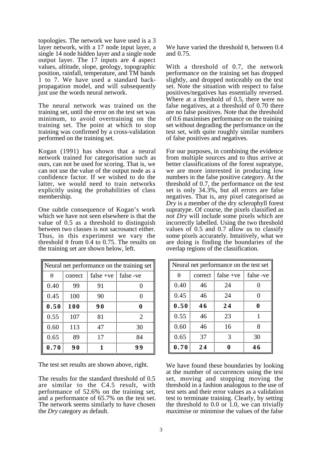topologies. The network we have used is a 3 layer network, with a 17 node input layer, a single 14 node hidden layer and a single node output layer. The 17 inputs are 4 aspect values, altitude, slope, geology, topographic position, rainfall, temperature, and TM bands 1 to 7. We have used a standard backpropagation model, and will subsequently just use the words neural network.

The neural network was trained on the training set, until the error on the test set was minimum, to avoid overtraining on the training set. The point at which to stop training was confirmed by a cross-validation performed on the training set.

Kogan (1991) has shown that a neural network trained for categorisation such as ours, can not be used for scoring. That is, we can not use the value of the output node as a confidence factor. If we wished to do the latter, we would need to train networks explicitly using the probabilities of class membership.

One subtle consequence of Kogan's work which we have not seen elsewhere is that the value of 0.5 as a threshold to distinguish between two classes is not sacrosanct either. Thus, in this experiment we vary the threshold  $\theta$  from 0.4 to 0.75. The results on the training set are shown below, left.

| Neural net performance on the training set |         |             |                |  |  |
|--------------------------------------------|---------|-------------|----------------|--|--|
| θ                                          | correct | $false +ve$ | false -ve      |  |  |
| 0.40                                       | 99      | 91          |                |  |  |
| 0.45                                       | 100     | 90          | 0              |  |  |
| 0.50                                       | 100     | 90          |                |  |  |
| 0.55                                       | 107     | 81          | $\overline{2}$ |  |  |
| 0.60                                       | 113     | 47          | 30             |  |  |
| 0.65                                       | 89      | 17          | 84             |  |  |
| 0.70                                       | 90      |             | 99             |  |  |

The test set results are shown above, right.

The results for the standard threshold of 0.5 are similar to the C4.5 result, with performance of 52.6% on the training set, and a performance of 65.7% on the test set. The network seems similarly to have chosen the *Dry* category as default.

We have varied the threshold θ, between 0.4 and 0.75.

With a threshold of 0.7, the network performance on the training set has dropped slightly, and dropped noticeably on the test set. Note the situation with respect to false positives/negatives has essentially reversed. Where at a threshold of 0.5, there were no false negatives, at a threshold of 0.70 there are no false positives. Note that the threshold of 0.6 maximises performance on the training set without degrading the performance on the test set, with quite roughly similar numbers of false positives and negatives.

For our purposes, in combining the evidence from multiple sources and to thus arrive at better classifications of the forest supratype, we are more interested in producing low numbers in the false positive category. At the threshold of 0.7, the performance on the test set is only 34.3%, but all errors are false negatives. That is, any pixel categorised as *Dry* is a member of the dry sclerophyll forest supratype. Of course, the pixels classified as *not Dry* will include some pixels which are incorrectly labelled. Using the two threshold values of 0.5 and 0.7 allow us to classify some pixels accurately. Intuitively, what we are doing is finding the boundaries of the overlap regions of the classification.

| Neural net performance on the test set |         |             |                   |  |  |
|----------------------------------------|---------|-------------|-------------------|--|--|
| θ                                      | correct | false $+ve$ | false -ve         |  |  |
| 0.40                                   | 46      | 24          |                   |  |  |
| 0.45                                   | 46      | 24          | $\mathbf{\Omega}$ |  |  |
| 0.50                                   | 46      | 24          | 0                 |  |  |
| 0.55                                   | 46      | 23          | 1                 |  |  |
| 0.60                                   | 46      | 16          | 8                 |  |  |
| 0.65                                   | 37      | 3           | 30                |  |  |
| 0.70                                   | 24      |             | 46                |  |  |

We have found these boundaries by looking at the number of occurrences using the test set, moving and stopping moving the threshold in a fashion analogous to the use of test sets and their error values as a validation test to terminate training. Clearly, by setting the threshold to 0.0 or 1.0, we can trivially maximise or minimise the values of the false